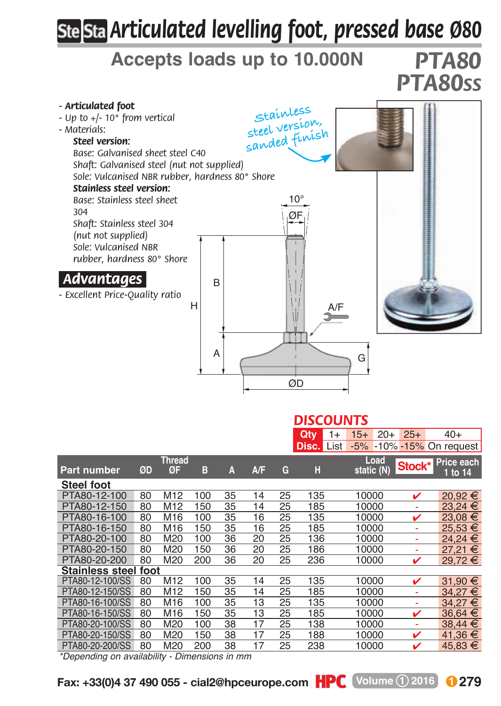## *Articulated levelling foot, pressed base Ø80*

## **Accepts loads up to 10.000N** *PTA80*

*PTA80SS*



|  |  | ____ |  |  | the contract of the contract of the |  |  |
|--|--|------|--|--|-------------------------------------|--|--|
|--|--|------|--|--|-------------------------------------|--|--|

|                      |    |                     |     |    |            |    | Qtv   | $15+$<br>1+        | $25+$<br>$20+$ | $40+$                        |
|----------------------|----|---------------------|-----|----|------------|----|-------|--------------------|----------------|------------------------------|
|                      |    |                     |     |    |            |    | Disc. | $-5%$<br>List      | $-10\% - 15\%$ | On request                   |
| <b>Part number</b>   | ØD | <b>Thread</b><br>ØF | в   | A  | <b>A/F</b> | G  | н     | Load<br>static (N) | Stock*         | <b>Price each</b><br>1 to 14 |
| <b>Steel foot</b>    |    |                     |     |    |            |    |       |                    |                |                              |
| PTA80-12-100         | 80 | M <sub>12</sub>     | 100 | 35 | 14         | 25 | 135   | 10000              | ✓              | 20.92€                       |
| PTA80-12-150         | 80 | M <sub>12</sub>     | 150 | 35 | 14         | 25 | 185   | 10000              | ÷              | 23.24 €                      |
| PTA80-16-100         | 80 | M16                 | 100 | 35 | 16         | 25 | 135   | 10000              | v              | 23.08 €                      |
| PTA80-16-150         | 80 | M16                 | 150 | 35 | 16         | 25 | 185   | 10000              | ÷              | 25.53 €                      |
| PTA80-20-100         | 80 | M20                 | 100 | 36 | 20         | 25 | 136   | 10000              | ٠              | 24.24 €                      |
| PTA80-20-150         | 80 | M20                 | 150 | 36 | 20         | 25 | 186   | 10000              | ä,             | 27.21 €                      |
| PTA80-20-200         | 80 | M20                 | 200 | 36 | 20         | 25 | 236   | 10000              | v              | $29.72 \t∈$                  |
| Stainless steel foot |    |                     |     |    |            |    |       |                    |                |                              |
| PTA80-12-100/SS      | 80 | M <sub>12</sub>     | 100 | 35 | 14         | 25 | 135   | 10000              | ✓              | 31.90 €                      |
| PTA80-12-150/SS      | 80 | M <sub>12</sub>     | 150 | 35 | 14         | 25 | 185   | 10000              | ÷              | 34.27 €                      |
| PTA80-16-100/SS      | 80 | M <sub>16</sub>     | 100 | 35 | 13         | 25 | 135   | 10000              | ٠              | 34.27 €                      |
| PTA80-16-150/SS      | 80 | M16                 | 150 | 35 | 13         | 25 | 185   | 10000              | v              | 36.64 €                      |
| PTA80-20-100/SS      | 80 | M20                 | 100 | 38 | 17         | 25 | 138   | 10000              | ٠              | 38.44 €                      |
| PTA80-20-150/SS      | 80 | M20                 | 150 | 38 | 17         | 25 | 188   | 10000              | v              | 41.36 €                      |
| PTA80-20-200/SS      | 80 | M20                 | 200 | 38 | 17         | 25 | 238   | 10000              | ✓              | 45.83 €                      |

*\*Depending on availability - Dimensions in mm*